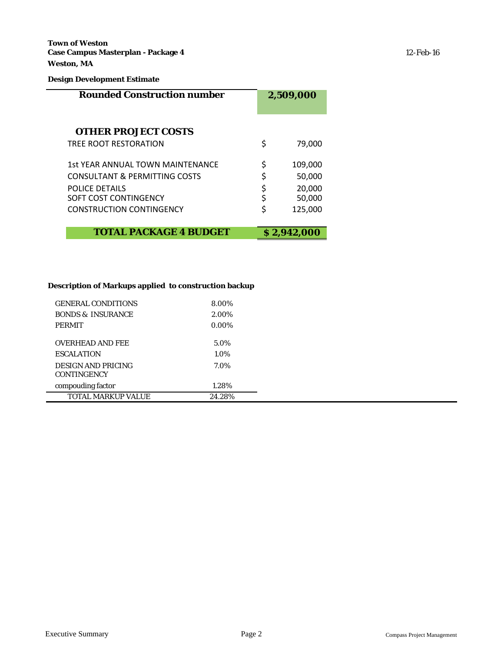**Town of Weston Case Campus Masterplan - Package 4** 12-Feb-16 **Weston, MA**

### **Design Development Estimate**

| <b>Rounded Construction number</b>       | 2,509,000     |  |  |
|------------------------------------------|---------------|--|--|
| <b>OTHER PROJECT COSTS</b>               |               |  |  |
| TRFF ROOT RESTORATION                    | \$<br>79,000  |  |  |
| 1st YEAR ANNUAL TOWN MAINTENANCE         | \$<br>109,000 |  |  |
| <b>CONSULTANT &amp; PERMITTING COSTS</b> | \$<br>50,000  |  |  |
| <b>POLICE DETAILS</b>                    | \$<br>20,000  |  |  |
| SOFT COST CONTINGENCY                    | 50,000        |  |  |
| CONSTRUCTION CONTINGENCY                 | \$<br>125,000 |  |  |
| <b>TOTAL PACKAGE 4 BUDGET</b>            | \$2,942,000   |  |  |

## **Description of Markups applied to construction backup**

| <b>GENERAL CONDITIONS</b>                       | 8.00%    |
|-------------------------------------------------|----------|
| <b>BONDS &amp; INSURANCE</b>                    | 2.00%    |
| <b>PERMIT</b>                                   | $0.00\%$ |
| <b>OVERHEAD AND FEE</b>                         | 5.0%     |
|                                                 |          |
| <b>ESCALATION</b>                               | 1.0%     |
| <b>DESIGN AND PRICING</b><br><b>CONTINGENCY</b> | 7.0%     |
| compouding factor                               | 1.28%    |
| <b>TOTAL MARKUP VALUE</b>                       | 24.28%   |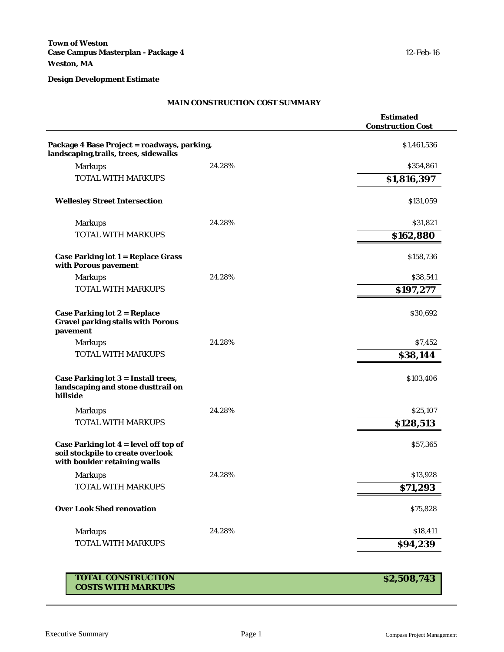### **MAIN CONSTRUCTION COST SUMMARY**

|                                                                                                              |        | <b>Estimated</b><br><b>Construction Cost</b> |
|--------------------------------------------------------------------------------------------------------------|--------|----------------------------------------------|
| Package 4 Base Project = roadways, parking,                                                                  |        | \$1,461,536                                  |
| landscaping, trails, trees, sidewalks                                                                        |        |                                              |
| <b>Markups</b>                                                                                               | 24.28% | \$354,861                                    |
| <b>TOTAL WITH MARKUPS</b>                                                                                    |        | \$1,816,397                                  |
| <b>Wellesley Street Intersection</b>                                                                         |        | \$131,059                                    |
| <b>Markups</b>                                                                                               | 24.28% | \$31,821                                     |
| <b>TOTAL WITH MARKUPS</b>                                                                                    |        | \$162,880                                    |
| <b>Case Parking lot 1 = Replace Grass</b><br>with Porous pavement                                            |        | \$158,736                                    |
| <b>Markups</b>                                                                                               | 24.28% | \$38,541                                     |
| <b>TOTAL WITH MARKUPS</b>                                                                                    |        | \$197,277                                    |
| Case Parking lot $2 = Replace$<br><b>Gravel parking stalls with Porous</b><br>pavement                       |        | \$30,692                                     |
| <b>Markups</b>                                                                                               | 24.28% | \$7,452                                      |
| <b>TOTAL WITH MARKUPS</b>                                                                                    |        | \$38,144                                     |
| Case Parking lot 3 = Install trees,<br>landscaping and stone dusttrail on<br>hillside                        |        | \$103,406                                    |
| <b>Markups</b>                                                                                               | 24.28% | \$25,107                                     |
| <b>TOTAL WITH MARKUPS</b>                                                                                    |        | \$128,513                                    |
| Case Parking lot $4 = level$ off top of<br>soil stockpile to create overlook<br>with boulder retaining walls |        | \$57,365                                     |
| <b>Markups</b>                                                                                               | 24.28% | \$13,928                                     |
| TOTAL WITH MARKUPS                                                                                           |        | \$71,293                                     |
| <b>Over Look Shed renovation</b>                                                                             |        | \$75,828                                     |
| <b>Markups</b>                                                                                               | 24.28% | \$18,411                                     |
| <b>TOTAL WITH MARKUPS</b>                                                                                    |        | \$94,239                                     |

# **TOTAL CONSTRUCTION COSTS WITH MARKUPS**

**\$2,508,743**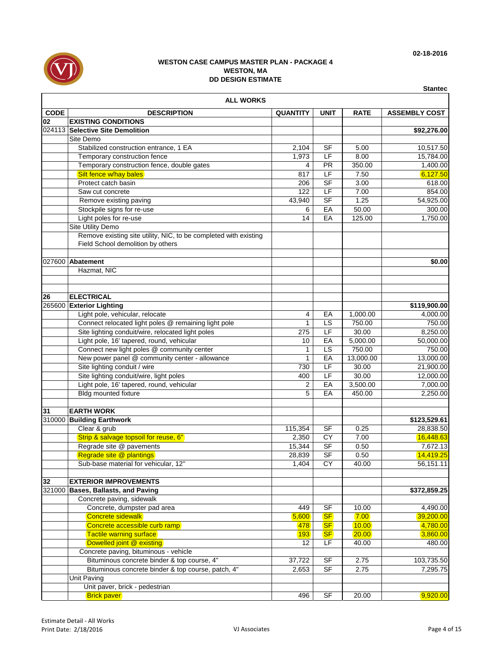

|             | <b>ALL WORKS</b>                                                                                                           |                 |                |             |                      |  |  |  |  |
|-------------|----------------------------------------------------------------------------------------------------------------------------|-----------------|----------------|-------------|----------------------|--|--|--|--|
| <b>CODE</b> | <b>DESCRIPTION</b>                                                                                                         | <b>QUANTITY</b> | <b>UNIT</b>    | <b>RATE</b> | <b>ASSEMBLY COST</b> |  |  |  |  |
| 02          | <b>EXISTING CONDITIONS</b>                                                                                                 |                 |                |             |                      |  |  |  |  |
|             | 024113 Selective Site Demolition                                                                                           |                 |                |             | \$92,276.00          |  |  |  |  |
|             | Site Demo                                                                                                                  |                 |                |             |                      |  |  |  |  |
|             | Stabilized construction entrance, 1 EA                                                                                     | 2,104           | SF             | 5.00        | 10,517.50            |  |  |  |  |
|             | Temporary construction fence                                                                                               | 1,973           | LF             | 8.00        | 15,784.00            |  |  |  |  |
|             | Temporary construction fence, double gates                                                                                 | 4               | <b>PR</b>      | 350.00      | 1,400.00             |  |  |  |  |
|             | Silt fence w/hay bales                                                                                                     | 817             | LF             | 7.50        | 6,127.50             |  |  |  |  |
|             | Protect catch basin                                                                                                        | 206             | <b>SF</b>      | 3.00        | 618.00               |  |  |  |  |
|             | Saw cut concrete                                                                                                           | 122             | LF             | 7.00        | 854.00               |  |  |  |  |
|             | Remove existing paving                                                                                                     | 43,940          | <b>SF</b>      | 1.25        | 54,925.00            |  |  |  |  |
|             | Stockpile signs for re-use                                                                                                 | 6               | EA             | 50.00       | 300.00               |  |  |  |  |
|             | Light poles for re-use                                                                                                     | 14              | EA             | 125.00      | 1,750.00             |  |  |  |  |
|             | Site Utility Demo<br>Remove existing site utility, NIC, to be completed with existing<br>Field School demolition by others |                 |                |             |                      |  |  |  |  |
|             | 027600 Abatement                                                                                                           |                 |                |             | \$0.00               |  |  |  |  |
|             | Hazmat, NIC                                                                                                                |                 |                |             |                      |  |  |  |  |
|             |                                                                                                                            |                 |                |             |                      |  |  |  |  |
| 26          | <b>ELECTRICAL</b>                                                                                                          |                 |                |             |                      |  |  |  |  |
|             | 265600 Exterior Lighting                                                                                                   |                 |                |             | \$119,900.00         |  |  |  |  |
|             | Light pole, vehicular, relocate                                                                                            | 4               | EA             | 1,000.00    | 4,000.00             |  |  |  |  |
|             | Connect relocated light poles @ remaining light pole                                                                       | $\mathbf{1}$    | LS             | 750.00      | 750.00               |  |  |  |  |
|             | Site lighting conduit/wire, relocated light poles                                                                          | 275             | LF             | 30.00       | 8,250.00             |  |  |  |  |
|             | Light pole, 16' tapered, round, vehicular                                                                                  | 10              | EA             | 5,000.00    | 50,000.00            |  |  |  |  |
|             | Connect new light poles @ community center                                                                                 | $\mathbf{1}$    | LS             | 750.00      | 750.00               |  |  |  |  |
|             | New power panel @ community center - allowance                                                                             | $\mathbf{1}$    | EA             | 13,000.00   | 13,000.00            |  |  |  |  |
|             | Site lighting conduit / wire                                                                                               | 730             | LF             | 30.00       | 21,900.00            |  |  |  |  |
|             | Site lighting conduit/wire, light poles                                                                                    | 400             | LF             | 30.00       | 12,000.00            |  |  |  |  |
|             | Light pole, 16' tapered, round, vehicular                                                                                  | 2               | EA             | 3,500.00    | 7,000.00             |  |  |  |  |
|             | <b>Bldg mounted fixture</b>                                                                                                | 5               | EA             | 450.00      | 2,250.00             |  |  |  |  |
| 31          | <b>EARTH WORK</b>                                                                                                          |                 |                |             |                      |  |  |  |  |
|             | 310000 Building Earthwork                                                                                                  |                 |                |             | \$123,529.61         |  |  |  |  |
|             | Clear & grub                                                                                                               | 115,354         | <b>SF</b>      | 0.25        | 28,838.50            |  |  |  |  |
|             | Strip & salvage topsoil for reuse, 6"                                                                                      | 2,350           | CY             | 7.00        | 16,448.63            |  |  |  |  |
|             | Regrade site @ pavements                                                                                                   | 15,344          | <b>SF</b>      | 0.50        | 7,672.13             |  |  |  |  |
|             | Regrade site @ plantings                                                                                                   | 28,839          | <b>SF</b>      | 0.50        | 14,419.25            |  |  |  |  |
|             | Sub-base material for vehicular, 12"                                                                                       | 1,404           | CY             | 40.00       | 56,151.11            |  |  |  |  |
| 32          | <b>EXTERIOR IMPROVEMENTS</b>                                                                                               |                 |                |             |                      |  |  |  |  |
| 321000      | Bases, Ballasts, and Paving                                                                                                |                 |                |             | \$372,859.25         |  |  |  |  |
|             | Concrete paving, sidewalk                                                                                                  |                 |                |             |                      |  |  |  |  |
|             | Concrete, dumpster pad area                                                                                                | 449             | <b>SF</b>      | 10.00       | 4,490.00             |  |  |  |  |
|             | Concrete sidewalk                                                                                                          | 5,600           | S <sub>F</sub> | 7.00        | 39,200.00            |  |  |  |  |
|             | Concrete accessible curb ramp                                                                                              | 478             | <b>SF</b>      | 10.00       | 4,780.00             |  |  |  |  |
|             | <b>Tactile warning surface</b>                                                                                             | 193             | <b>SF</b>      | 20.00       | 3,860.00             |  |  |  |  |
|             | Dowelled joint @ existing                                                                                                  | 12              | LF             | 40.00       | 480.00               |  |  |  |  |
|             | Concrete paving, bituminous - vehicle                                                                                      |                 |                |             |                      |  |  |  |  |
|             | Bituminous concrete binder & top course, 4"                                                                                | 37,722          | SF             | 2.75        | 103,735.50           |  |  |  |  |
|             | Bituminous concrete binder & top course, patch, 4"                                                                         | 2,653           | <b>SF</b>      | 2.75        | 7,295.75             |  |  |  |  |
|             | <b>Unit Paving</b>                                                                                                         |                 |                |             |                      |  |  |  |  |
|             | Unit paver, brick - pedestrian                                                                                             |                 |                |             |                      |  |  |  |  |
|             | <b>Brick paver</b>                                                                                                         | 496             | <b>SF</b>      | 20.00       | 9,920.00             |  |  |  |  |

**Stantec**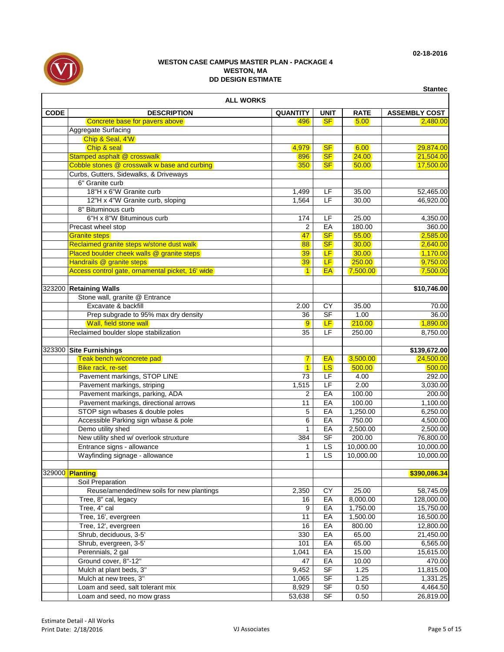

|                  |                                                  |                         |             |             | <b>Stantec</b>       |  |  |  |  |
|------------------|--------------------------------------------------|-------------------------|-------------|-------------|----------------------|--|--|--|--|
| <b>ALL WORKS</b> |                                                  |                         |             |             |                      |  |  |  |  |
| <b>CODE</b>      | <b>DESCRIPTION</b>                               | <b>QUANTITY</b>         | <b>UNIT</b> | <b>RATE</b> | <b>ASSEMBLY COST</b> |  |  |  |  |
|                  | Concrete base for pavers above                   | 496                     | <b>SF</b>   | 5.00        | 2,480.00             |  |  |  |  |
|                  | Aggregate Surfacing                              |                         |             |             |                      |  |  |  |  |
|                  | Chip & Seal, 4'W                                 |                         |             |             |                      |  |  |  |  |
|                  | Chip & seal                                      | 4,979                   | <b>SF</b>   | 6.00        | 29,874.00            |  |  |  |  |
|                  | Stamped asphalt @ crosswalk                      | 896                     | <b>SF</b>   | 24.00       | 21,504.00            |  |  |  |  |
|                  | Cobble stones @ crosswalk w base and curbing     | 350                     | <b>SF</b>   | 50.00       | 17,500.00            |  |  |  |  |
|                  | Curbs, Gutters, Sidewalks, & Driveways           |                         |             |             |                      |  |  |  |  |
|                  | 6" Granite curb                                  |                         |             |             |                      |  |  |  |  |
|                  | 18"H x 6"W Granite curb                          | 1,499                   | LF          | 35.00       | 52,465.00            |  |  |  |  |
|                  | 12"H x 4"W Granite curb, sloping                 | 1,564                   | LF          | 30.00       | 46,920.00            |  |  |  |  |
|                  | 8" Bituminous curb                               |                         |             |             |                      |  |  |  |  |
|                  | 6"H x 8"W Bituminous curb                        | 174                     | LF          | 25.00       | 4,350.00             |  |  |  |  |
|                  | Precast wheel stop                               | $\overline{2}$          | EA          | 180.00      | 360.00               |  |  |  |  |
|                  | <b>Granite steps</b>                             | 47                      | <b>SF</b>   | 55.00       | 2,585.00             |  |  |  |  |
|                  | Reclaimed granite steps w/stone dust walk        | 88                      | <b>SF</b>   | 30.00       | 2,640.00             |  |  |  |  |
|                  | Placed boulder cheek walls @ granite steps       | 39                      | LF          | 30.00       | 1,170.00             |  |  |  |  |
|                  | Handrails @ granite steps                        | 39                      | <b>LF</b>   | 250.00      | 9,750.00             |  |  |  |  |
|                  | Access control gate, ornamental picket, 16' wide | $\blacksquare$          | <b>EA</b>   | 7,500.00    | 7,500.00             |  |  |  |  |
|                  |                                                  |                         |             |             |                      |  |  |  |  |
|                  | 323200 Retaining Walls                           |                         |             |             | \$10,746.00          |  |  |  |  |
|                  | Stone wall, granite @ Entrance                   |                         |             |             |                      |  |  |  |  |
|                  | Excavate & backfill                              | 2.00                    | <b>CY</b>   | 35.00       | 70.00                |  |  |  |  |
|                  | Prep subgrade to 95% max dry density             | 36                      | <b>SF</b>   | 1.00        | 36.00                |  |  |  |  |
|                  | Wall, field stone wall                           | 9                       | <b>LF</b>   | 210.00      | 1,890.00             |  |  |  |  |
|                  | Reclaimed boulder slope stabilization            | 35                      | LF          | 250.00      | 8,750.00             |  |  |  |  |
|                  | 323300 Site Furnishings                          |                         |             |             | \$139,672.00         |  |  |  |  |
|                  | Teak bench w/concrete pad                        | $\overline{7}$          | <b>EA</b>   | 3,500.00    | 24,500.00            |  |  |  |  |
|                  | Bike rack, re-set                                | $\overline{\mathbf{1}}$ | <b>LS</b>   | 500.00      | 500.00               |  |  |  |  |
|                  | Pavement markings, STOP LINE                     | 73                      | LF          | 4.00        | 292.00               |  |  |  |  |
|                  | Pavement markings, striping                      | 1,515                   | LF          | 2.00        | 3,030.00             |  |  |  |  |
|                  | Pavement markings, parking, ADA                  | 2                       | EA          | 100.00      | 200.00               |  |  |  |  |
|                  | Pavement markings, directional arrows            | 11                      | EA          | 100.00      | 1,100.00             |  |  |  |  |
|                  | STOP sign w/bases & double poles                 | 5                       | EA          | 1,250.00    | 6,250.00             |  |  |  |  |
|                  | Accessible Parking sign w/base & pole            | 6                       | EA          | 750.00      | 4,500.00             |  |  |  |  |
|                  | Demo utility shed                                | 1                       | EA          | 2,500.00    | 2,500.00             |  |  |  |  |
|                  | New utility shed w/ overlook struxture           | 384                     | <b>SF</b>   | 200.00      | 76,800.00            |  |  |  |  |
|                  | Entrance signs - allowance                       | 1                       | LS          | 10,000.00   | 10,000.00            |  |  |  |  |
|                  | Wayfinding signage - allowance                   | $\mathbf{1}$            | LS          | 10,000.00   | 10,000.00            |  |  |  |  |
|                  |                                                  |                         |             |             |                      |  |  |  |  |
|                  | 329000 <b>Planting</b>                           |                         |             |             | \$390,086.34         |  |  |  |  |
|                  | Soil Preparation                                 |                         |             |             |                      |  |  |  |  |
|                  | Reuse/amended/new soils for new plantings        | 2,350                   | CY          | 25.00       | 58,745.09            |  |  |  |  |
|                  | Tree, 8" cal, legacy                             | 16                      | EA          | 8,000.00    | 128,000.00           |  |  |  |  |
|                  | Tree, 4" cal                                     | 9                       | EA          | 1,750.00    | 15,750.00            |  |  |  |  |
|                  | Tree, 16', evergreen                             | 11                      | EA          | 1,500.00    | 16,500.00            |  |  |  |  |
|                  | Tree, 12', evergreen                             | 16                      | EA          | 800.00      | 12,800.00            |  |  |  |  |
|                  | Shrub, deciduous, 3-5'                           | 330                     | EA          | 65.00       | 21,450.00            |  |  |  |  |
|                  | Shrub, evergreen, 3-5'                           | 101                     | EA          | 65.00       | 6,565.00             |  |  |  |  |
|                  | Perennials, 2 gal                                | 1,041                   | EA          | 15.00       | 15,615.00            |  |  |  |  |
|                  | Ground cover, 8"-12"                             | 47                      | EA          | 10.00       | 470.00               |  |  |  |  |
|                  | Mulch at plant beds, 3"                          | 9,452                   | <b>SF</b>   | 1.25        | 11,815.00            |  |  |  |  |
|                  | Mulch at new trees, 3"                           | 1,065                   | SF          | 1.25        | 1,331.25             |  |  |  |  |
|                  | Loam and seed, salt tolerant mix                 | 8,929                   | <b>SF</b>   | 0.50        | 4,464.50             |  |  |  |  |
|                  | Loam and seed, no mow grass                      | 53,638                  | SF          | 0.50        | 26,819.00            |  |  |  |  |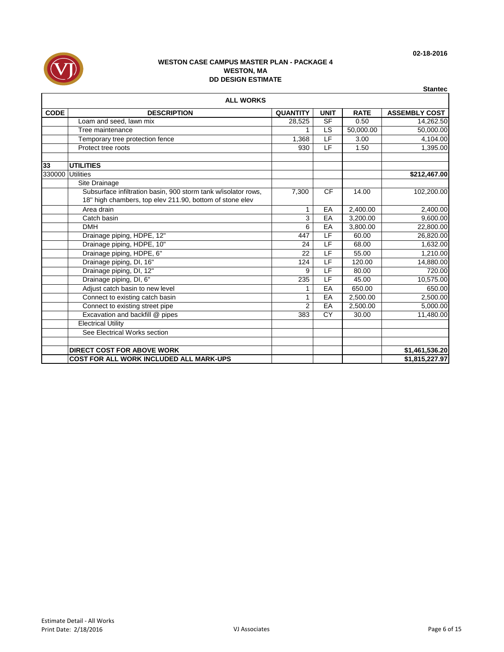

|             | <b>ALL WORKS</b>                                               |                 |                          |             |                      |
|-------------|----------------------------------------------------------------|-----------------|--------------------------|-------------|----------------------|
| <b>CODE</b> | <b>DESCRIPTION</b>                                             | <b>QUANTITY</b> | <b>UNIT</b>              | <b>RATE</b> | <b>ASSEMBLY COST</b> |
|             | Loam and seed, lawn mix                                        | 28,525          | <b>SF</b>                | 0.50        | 14,262.50            |
|             | Tree maintenance                                               |                 | LS                       | 50,000.00   | 50,000.00            |
|             | Temporary tree protection fence                                | 1,368           | LF                       | 3.00        | 4,104.00             |
|             | Protect tree roots                                             | 930             | LF                       | 1.50        | 1,395.00             |
|             |                                                                |                 |                          |             |                      |
| 33          | <b>UTILITIES</b>                                               |                 |                          |             |                      |
| 330000      | <b>Utilities</b>                                               |                 |                          |             | \$212,467.00         |
|             | Site Drainage                                                  |                 |                          |             |                      |
|             | Subsurface infiltration basin, 900 storm tank w/isolator rows, | 7,300           | <b>CF</b>                | 14.00       | 102,200.00           |
|             | 18" high chambers, top elev 211.90, bottom of stone elev       |                 |                          |             |                      |
|             | Area drain                                                     | 1               | EA                       | 2,400.00    | 2,400.00             |
|             | Catch basin                                                    | 3               | EA                       | 3.200.00    | 9,600.00             |
|             | <b>DMH</b>                                                     | 6               | EA                       | 3,800.00    | 22,800.00            |
|             | Drainage piping, HDPE, 12"                                     | 447             | $\overline{\mathsf{LF}}$ | 60.00       | 26,820.00            |
|             | Drainage piping, HDPE, 10"                                     | 24              | LF                       | 68.00       | 1,632.00             |
|             | Drainage piping, HDPE, 6"                                      | 22              | E                        | 55.00       | 1,210.00             |
|             | Drainage piping, DI, 16"                                       | 124             | LF                       | 120.00      | 14,880.00            |
|             | Drainage piping, DI, 12"                                       | 9               | LF                       | 80.00       | 720.00               |
|             | Drainage piping, DI, 6"                                        | 235             | LF                       | 45.00       | 10,575.00            |
|             | Adjust catch basin to new level                                | 1               | EA                       | 650.00      | 650.00               |
|             | Connect to existing catch basin                                |                 | EA                       | 2,500.00    | 2,500.00             |
|             | Connect to existing street pipe                                | $\overline{2}$  | EA                       | 2,500.00    | 5,000.00             |
|             | Excavation and backfill @ pipes                                | 383             | CY                       | 30.00       | 11,480.00            |
|             | <b>Electrical Utility</b>                                      |                 |                          |             |                      |
|             | See Electrical Works section                                   |                 |                          |             |                      |
|             | <b>DIRECT COST FOR ABOVE WORK</b>                              |                 |                          |             | \$1,461,536.20       |
|             | <b>COST FOR ALL WORK INCLUDED ALL MARK-UPS</b>                 |                 |                          |             | \$1,815,227.97       |

**Stantec**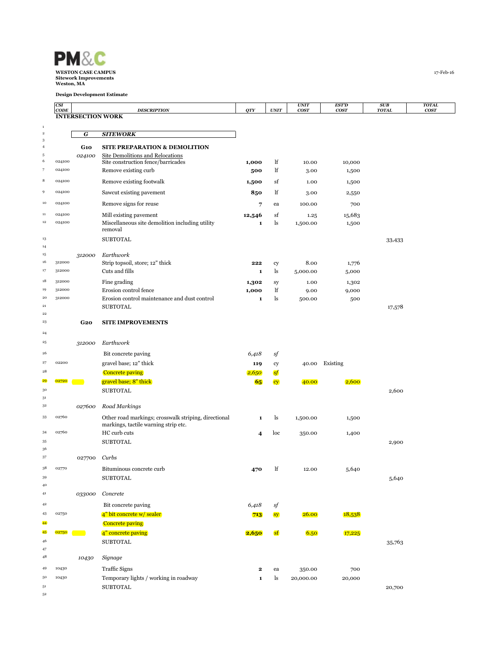

|                      | CSI<br>CODE      |                          | <b>DESCRIPTION</b>                                         | QTY          | $\ensuremath{\textit{UNIT}}$ | <b>UNIT</b><br>cosr | <b>EST'D</b><br><b>COST</b> | SUB<br><b>TOTAL</b> | <b>TOTAL</b><br>cosr |
|----------------------|------------------|--------------------------|------------------------------------------------------------|--------------|------------------------------|---------------------|-----------------------------|---------------------|----------------------|
|                      |                  | <b>INTERSECTION WORK</b> |                                                            |              |                              |                     |                             |                     |                      |
| $\,$ 1               |                  |                          |                                                            |              |                              |                     |                             |                     |                      |
| $\,$ 2<br>$\sqrt{3}$ |                  | G                        | <b>SITEWORK</b>                                            |              |                              |                     |                             |                     |                      |
| $\overline{4}$       |                  | <b>G10</b>               | <b>SITE PREPARATION &amp; DEMOLITION</b>                   |              |                              |                     |                             |                     |                      |
| 5                    |                  | 024100                   | Site Demolitions and Relocations                           |              |                              |                     |                             |                     |                      |
| $\boldsymbol{6}$     | 024100<br>024100 |                          | Site construction fence/barricades                         | 1,000        | lf                           | 10.00               | 10,000                      |                     |                      |
| -7                   |                  |                          | Remove existing curb                                       | 500          | lf                           | 3.00                | 1,500                       |                     |                      |
| 8                    | 024100           |                          | Remove existing footwalk                                   | 1,500        | sf                           | 1.00                | 1,500                       |                     |                      |
| $\,9$                | 024100           |                          | Sawcut existing pavement                                   | 850          | lf                           | 3.00                | 2,550                       |                     |                      |
| 10                   | 024100           |                          | Remove signs for reuse                                     | 7            | ea                           | 100.00              | 700                         |                     |                      |
| 11                   | 024100           |                          | Mill existing pavement                                     | 12,546       | sf                           | 1.25                | 15,683                      |                     |                      |
| $12\,$               | 024100           |                          | Miscellaneous site demolition including utility<br>removal | 1            | ls                           | 1,500.00            | 1,500                       |                     |                      |
| 13                   |                  |                          | <b>SUBTOTAL</b>                                            |              |                              |                     |                             |                     |                      |
| 14                   |                  |                          |                                                            |              |                              |                     |                             | 33,433              |                      |
| 15                   |                  | 312000                   | Earthwork                                                  |              |                              |                     |                             |                     |                      |
| 16                   | 312000           |                          | Strip topsoil, store; 12" thick                            | 222          | cy                           | 8.00                | 1,776                       |                     |                      |
| 17                   | 312000           |                          | Cuts and fills                                             | 1            | ls                           | 5,000.00            | 5,000                       |                     |                      |
| 18                   | 312000           |                          | Fine grading                                               | 1,302        | sy                           | 1.00                | 1,302                       |                     |                      |
| 19                   | 312000           |                          | Erosion control fence                                      | 1,000        | lf                           | 9.00                | 9,000                       |                     |                      |
| ${\bf 20}$           | 312000           |                          | Erosion control maintenance and dust control               | 1            | ls                           | 500.00              | 500                         |                     |                      |
| 21<br>$\bf{^{22}}$   |                  |                          | <b>SUBTOTAL</b>                                            |              |                              |                     |                             | 17,578              |                      |
| 23                   |                  | G2O                      | <b>SITE IMPROVEMENTS</b>                                   |              |                              |                     |                             |                     |                      |
| $^{24}$              |                  |                          |                                                            |              |                              |                     |                             |                     |                      |
| $\bf{^{25}}$         |                  |                          | Earthwork                                                  |              |                              |                     |                             |                     |                      |
|                      |                  | 312000                   |                                                            |              |                              |                     |                             |                     |                      |
| 26                   |                  |                          | Bit concrete paving                                        | 6,418        | sf                           |                     |                             |                     |                      |
| 27                   | 02200            |                          | gravel base; 12" thick                                     | 119          | cy                           |                     | 40.00 Existing              |                     |                      |
| 28<br>29             | 02720            |                          | <b>Concrete paving</b>                                     | 2,650        | sf                           |                     |                             |                     |                      |
| 30                   |                  |                          | gravel base; 8" thick                                      | 65           | <b>cy</b>                    | 40.00               | 2,600                       |                     |                      |
| 31                   |                  |                          | <b>SUBTOTAL</b>                                            |              |                              |                     |                             | 2,600               |                      |
| 3 <sup>2</sup>       |                  | 027600                   | Road Markings                                              |              |                              |                     |                             |                     |                      |
| 33                   | 02760            |                          | Other road markings; crosswalk striping, directional       | 1            | ls                           | 1,500.00            | 1,500                       |                     |                      |
|                      |                  |                          | markings, tactile warning strip etc.                       |              |                              |                     |                             |                     |                      |
| 34                   | 02760            |                          | HC curb cuts                                               | 4            | loc                          | 350.00              | 1,400                       |                     |                      |
| 35                   |                  |                          | <b>SUBTOTAL</b>                                            |              |                              |                     |                             | 2,900               |                      |
| 36<br>37             |                  |                          |                                                            |              |                              |                     |                             |                     |                      |
|                      |                  | 027700                   | Curbs                                                      |              |                              |                     |                             |                     |                      |
| 38                   | 02770            |                          | Bituminous concrete curb                                   | 470          | lf                           | 12.00               | 5,640                       |                     |                      |
| 39                   |                  |                          | <b>SUBTOTAL</b>                                            |              |                              |                     |                             | 5,640               |                      |
| 40<br>41             |                  | 033000                   | Concrete                                                   |              |                              |                     |                             |                     |                      |
| 42                   |                  |                          |                                                            |              |                              |                     |                             |                     |                      |
| 43                   | 02750            |                          | Bit concrete paving<br>4" bit concrete w/ sealer           | 6,418<br>713 | sf<br>sy                     | 26.00               | 18,538                      |                     |                      |
| 44                   |                  |                          | <b>Concrete paving</b>                                     |              |                              |                     |                             |                     |                      |
| 45                   | 02750            | <b>Contract</b>          | 4" concrete paving                                         | 2,650        | <b>sf</b>                    | 6.50                | 17,225                      |                     |                      |
| 46                   |                  |                          | <b>SUBTOTAL</b>                                            |              |                              |                     |                             | 35,763              |                      |
| 47                   |                  |                          |                                                            |              |                              |                     |                             |                     |                      |
| 48                   |                  | 10430                    | Signage                                                    |              |                              |                     |                             |                     |                      |
| 49                   | 10430            |                          | <b>Traffic Signs</b>                                       | $\mathbf{2}$ | ea                           | 350.00              | 700                         |                     |                      |
| 50                   | 10430            |                          | Temporary lights / working in roadway                      | $\mathbf{1}$ | ls                           | 20,000.00           | 20,000                      |                     |                      |
| 51                   |                  |                          | <b>SUBTOTAL</b>                                            |              |                              |                     |                             | 20,700              |                      |
| 52                   |                  |                          |                                                            |              |                              |                     |                             |                     |                      |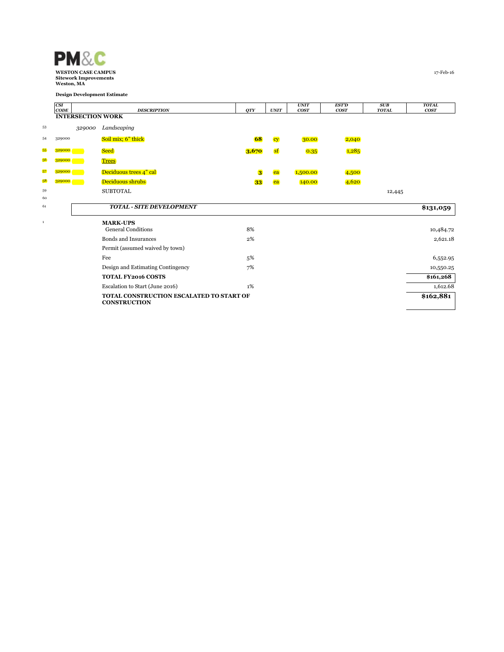

|              | CSI    |                          |                                                                 |            |           | <b>UNIT</b> | <b>EST'D</b> | SUB          | <b>TOTAL</b>     |
|--------------|--------|--------------------------|-----------------------------------------------------------------|------------|-----------|-------------|--------------|--------------|------------------|
|              | CODE   | <b>INTERSECTION WORK</b> | <b>DESCRIPTION</b>                                              | <b>OTY</b> | UNIT      | <b>COST</b> | <b>COST</b>  | <b>TOTAL</b> | cos <sub>T</sub> |
|              |        |                          |                                                                 |            |           |             |              |              |                  |
| 53           |        | 329000                   | Landscaping                                                     |            |           |             |              |              |                  |
| 54           | 329000 |                          | Soil mix; 6" thick                                              | 68         | cy        | 30.00       | 2,040        |              |                  |
| 55           | 329000 |                          | <b>Seed</b>                                                     | 3,670      | <b>sf</b> | 0.35        | 1,285        |              |                  |
| 56           | 329000 |                          | <b>Trees</b>                                                    |            |           |             |              |              |                  |
| 57           | 329000 |                          | Deciduous trees 4" cal                                          | 3          | ea        | 1,500.00    | 4,500        |              |                  |
| 58           | 329000 |                          | Deciduous shrubs                                                | 33         | ea        | 140.00      | 4,620        |              |                  |
| 59           |        |                          | <b>SUBTOTAL</b>                                                 |            |           |             |              | 12,445       |                  |
| 60           |        |                          |                                                                 |            |           |             |              |              |                  |
| 61           |        |                          | <b>TOTAL - SITE DEVELOPMENT</b>                                 |            |           |             |              |              | \$131,059        |
| $\mathbf{1}$ |        |                          | <b>MARK-UPS</b>                                                 |            |           |             |              |              |                  |
|              |        |                          | <b>General Conditions</b>                                       | 8%         |           |             |              |              | 10,484.72        |
|              |        |                          | <b>Bonds and Insurances</b>                                     | $2\%$      |           |             |              |              | 2,621.18         |
|              |        |                          | Permit (assumed waived by town)                                 |            |           |             |              |              |                  |
|              |        |                          | Fee                                                             | 5%         |           |             |              |              | 6,552.95         |
|              |        |                          | Design and Estimating Contingency                               | 7%         |           |             |              |              | 10,550.25        |
|              |        |                          | <b>TOTAL FY2016 COSTS</b>                                       |            |           |             |              |              | \$161,268        |
|              |        |                          | Escalation to Start (June 2016)                                 | 1%         |           |             |              |              | 1,612.68         |
|              |        |                          | TOTAL CONSTRUCTION ESCALATED TO START OF<br><b>CONSTRUCTION</b> |            |           |             |              |              | \$162,881        |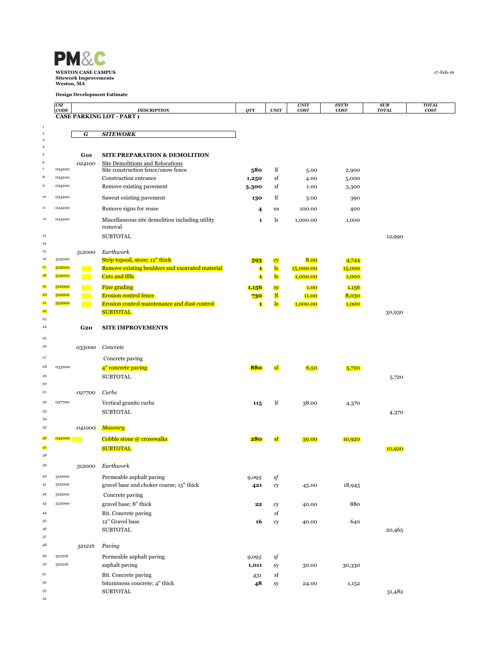

|                           | CSI              |                 |                                                                                    |                     |                              | <b>UNIT</b>       | EST'D           | SUB          | <b>TOTAL</b> |
|---------------------------|------------------|-----------------|------------------------------------------------------------------------------------|---------------------|------------------------------|-------------------|-----------------|--------------|--------------|
|                           | CODE             |                 | <b>DESCRIPTION</b><br><b>CASE PARKING LOT - PART 1</b>                             | QTY                 | <b>UNIT</b>                  | <b>COST</b>       | <b>COST</b>     | <b>TOTAL</b> | <b>COST</b>  |
| $\mathbf{1}$              |                  |                 |                                                                                    |                     |                              |                   |                 |              |              |
| $\,$ 2 $\,$<br>$\sqrt{3}$ |                  | G               | <b>SITEWORK</b>                                                                    |                     |                              |                   |                 |              |              |
| $\overline{4}$            |                  |                 |                                                                                    |                     |                              |                   |                 |              |              |
| $\,$ 5                    |                  | G1O             | <b>SITE PREPARATION &amp; DEMOLITION</b>                                           |                     |                              |                   |                 |              |              |
| 6<br>$\overline{7}$       | 024100           | 024100          | Site Demolitions and Relocations                                                   |                     | lf                           |                   |                 |              |              |
| 8                         | 024100           |                 | Site construction fence/snow fence<br>Construction entrance                        | 580<br>1,250        | sf                           | 5.00<br>4.00      | 2,900<br>5,000  |              |              |
| 9                         | 024100           |                 | Remove existing pavement                                                           | 3,300               | sf                           | 1.00              | 3,300           |              |              |
| 10                        | 024100           |                 | Sawcut existing pavement                                                           | 130                 | lf                           | 3.00              | 390             |              |              |
| $11\,$                    | 024100           |                 | Remove signs for reuse                                                             | 4                   | ea                           | 100.00            | 400             |              |              |
| $12\,$                    | 024100           |                 |                                                                                    |                     |                              |                   |                 |              |              |
|                           |                  |                 | Miscellaneous site demolition including utility<br>removal                         | $\mathbf{1}$        | ls                           | 1,000.00          | 1,000           |              |              |
| 13                        |                  |                 | <b>SUBTOTAL</b>                                                                    |                     |                              |                   |                 | 12,990       |              |
| 14                        |                  |                 |                                                                                    |                     |                              |                   |                 |              |              |
| 15<br>16                  | 312000           | 312000          | Earthwork                                                                          |                     |                              |                   |                 |              |              |
| 17                        | 312000           | e e             | Strip topsoil, store; 12" thick<br>Remove existing boulders and excavated material | 593<br>$\mathbf{1}$ | cy<br>$\overline{\text{ls}}$ | 8.00<br>15,000.00 | 4,744<br>15,000 |              |              |
| <b>18</b>                 | 312000           | <b>Contract</b> | <b>Cuts and fills</b>                                                              | $\mathbf{I}$        | $\overline{\text{ls}}$       | 1,000.00          | 1,000           |              |              |
| 19                        | 312000           | <b>Contract</b> | <b>Fine grading</b>                                                                | 1,156               | sy                           | 1.00              | 1,156           |              |              |
| 20                        | 312000           | <b>Contract</b> | <b>Erosion control fence</b>                                                       | 730                 | lf                           | 11.00             | 8,030           |              |              |
| 21                        | 312000           | <b>Contract</b> | <b>Erosion control maintenance and dust control</b>                                | $\mathbf{1}$        | $\mathbf{ls}$                | 1,000.00          | 1,000           |              |              |
| 22                        |                  |                 | <b>SUBTOTAL</b>                                                                    |                     |                              |                   |                 | 30,930       |              |
| 23<br>$^{24}$             |                  | G2O             | <b>SITE IMPROVEMENTS</b>                                                           |                     |                              |                   |                 |              |              |
| $\bf{^{25}}$              |                  |                 |                                                                                    |                     |                              |                   |                 |              |              |
| 26                        |                  | 033000          | Concrete                                                                           |                     |                              |                   |                 |              |              |
| $\bf{27}$                 |                  |                 | Concrete paving                                                                    |                     |                              |                   |                 |              |              |
| 28                        | 033000           |                 | 4" concrete paving                                                                 | 880                 | sf                           | 6.50              | 5,720           |              |              |
| 29                        |                  |                 | <b>SUBTOTAL</b>                                                                    |                     |                              |                   |                 | 5,720        |              |
| 30                        |                  |                 |                                                                                    |                     |                              |                   |                 |              |              |
| 31                        |                  | 027700          | Curbs                                                                              |                     |                              |                   |                 |              |              |
| 3 <sup>2</sup>            | 027700           |                 | Vertical granite curbs                                                             | 115                 | lf                           | 38.00             | 4,370           |              |              |
| 33                        |                  |                 | <b>SUBTOTAL</b>                                                                    |                     |                              |                   |                 | 4,370        |              |
| 34<br>35                  |                  |                 |                                                                                    |                     |                              |                   |                 |              |              |
|                           |                  | 041000          | <b>Masonry</b>                                                                     |                     |                              |                   |                 |              |              |
| 36                        | 041000           |                 | <b>Cobble stone @ crosswalks</b>                                                   | 280                 | sf                           | 39.00             | 10,920          |              |              |
| 37<br>38                  |                  |                 | <b>SUBTOTAL</b>                                                                    |                     |                              |                   |                 | 10,920       |              |
| 39                        |                  | 312000          | Earthwork                                                                          |                     |                              |                   |                 |              |              |
| 40                        | 312000           |                 | Permeable asphalt paving                                                           | 9,095               | sf                           |                   |                 |              |              |
| 41                        | 312000           |                 | gravel base and choker coarse; 15" thick                                           | 421                 | cy                           | 45.00             | 18,945          |              |              |
| 42                        | 312000           |                 | Concrete paving                                                                    |                     |                              |                   |                 |              |              |
| 43                        | 312000           |                 | gravel base; 8" thick                                                              | 22                  | cy                           | 40.00             | 880             |              |              |
| 44                        |                  |                 | Bit. Concrete paving                                                               |                     | sf                           |                   |                 |              |              |
| 45                        |                  |                 | 12" Gravel base                                                                    | 16                  | cy                           | 40.00             | 640             |              |              |
| 46                        |                  |                 | <b>SUBTOTAL</b>                                                                    |                     |                              |                   |                 | 20,465       |              |
| 47<br>48                  |                  | 321216          | Paving                                                                             |                     |                              |                   |                 |              |              |
|                           |                  |                 |                                                                                    |                     |                              |                   |                 |              |              |
| 49<br>50                  | 321216<br>321216 |                 | Permeable asphalt paving<br>asphalt paving                                         | 9,095<br>1,011      | sf                           | 30.00             |                 |              |              |
| 51                        |                  |                 | Bit. Concrete paving                                                               |                     | sy<br>sf                     |                   | 30,330          |              |              |
| 52                        |                  |                 | bituminous concrete; 4" thick                                                      | 431<br>48           | sy                           | 24.00             | 1,152           |              |              |
| 53                        |                  |                 | <b>SUBTOTAL</b>                                                                    |                     |                              |                   |                 | 31,482       |              |
| 54                        |                  |                 |                                                                                    |                     |                              |                   |                 |              |              |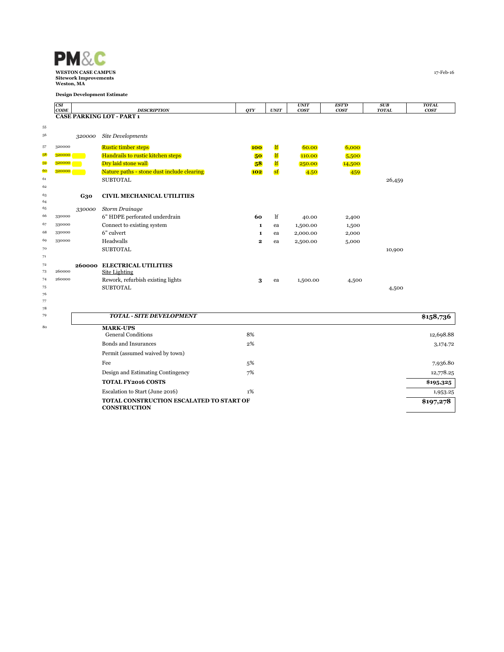

|          | CSI<br>CODE |            | <b>DESCRIPTION</b>                           | <b>QTY</b>              | UNIT         | <b>UNIT</b><br>cosr | <b>EST'D</b><br><b>COST</b> | SUB<br><b>TOTAL</b> | <b>TOTAL</b><br>cos <sub>T</sub> |
|----------|-------------|------------|----------------------------------------------|-------------------------|--------------|---------------------|-----------------------------|---------------------|----------------------------------|
|          |             |            | <b>CASE PARKING LOT - PART 1</b>             |                         |              |                     |                             |                     |                                  |
| 55       |             |            |                                              |                         |              |                     |                             |                     |                                  |
| 56       |             | 320000     | Site Developments                            |                         |              |                     |                             |                     |                                  |
| 57       | 320000      |            | <b>Rustic timber steps</b>                   | <b>100</b>              | lf           | 60.00               | 6,000                       |                     |                                  |
| 58       | 320000      |            | Handrails to rustic kitchen steps            | 50                      | <sup>1</sup> | 110.00              | 5,500                       |                     |                                  |
| 59       | 320000      |            | Dry laid stone wall                          | 58                      | <u>lf</u>    | 250.00              | 14,500                      |                     |                                  |
| 60       | 320000      |            | Nature paths - stone dust include clearing   | <b>102</b>              | sf           | 4.50                | 459                         |                     |                                  |
| 61       |             |            | <b>SUBTOTAL</b>                              |                         |              |                     |                             | 26,459              |                                  |
| 62       |             |            |                                              |                         |              |                     |                             |                     |                                  |
| 63<br>64 |             | <b>G30</b> | <b>CIVIL MECHANICAL UTILITIES</b>            |                         |              |                     |                             |                     |                                  |
| 65       |             | 330000     | <b>Storm Drainage</b>                        |                         |              |                     |                             |                     |                                  |
| 66       | 330000      |            | 6" HDPE perforated underdrain                | 60                      | lf           | 40.00               | 2,400                       |                     |                                  |
| 67       | 330000      |            | Connect to existing system                   | 1                       | ea           | 1,500.00            | 1,500                       |                     |                                  |
| 68       | 330000      |            | 6" culvert                                   | 1                       | ea           | 2,000.00            | 2,000                       |                     |                                  |
| 69       | 330000      |            | Headwalls                                    | $\overline{\mathbf{2}}$ | ea           | 2,500.00            | 5,000                       |                     |                                  |
| 70       |             |            | <b>SUBTOTAL</b>                              |                         |              |                     |                             | 10,900              |                                  |
| 71       |             |            |                                              |                         |              |                     |                             |                     |                                  |
| 72       |             |            | 260000 ELECTRICAL UTILITIES                  |                         |              |                     |                             |                     |                                  |
| 73       | 260000      |            | Site Lighting                                |                         |              |                     |                             |                     |                                  |
| 74       | 260000      |            | Rework, refurbish existing lights            | 3                       | ea           | 1,500.00            | 4,500                       |                     |                                  |
| 75<br>76 |             |            | <b>SUBTOTAL</b>                              |                         |              |                     |                             | 4,500               |                                  |
| 77       |             |            |                                              |                         |              |                     |                             |                     |                                  |
| 78       |             |            |                                              |                         |              |                     |                             |                     |                                  |
| 79       |             |            | <b>TOTAL - SITE DEVELOPMENT</b>              |                         |              |                     |                             |                     | \$158,736                        |
| 80       |             |            | <b>MARK-UPS</b><br><b>General Conditions</b> | 8%                      |              |                     |                             |                     | 12,698.88                        |
|          |             |            | <b>Bonds and Insurances</b>                  | 2%                      |              |                     |                             |                     |                                  |
|          |             |            |                                              |                         |              |                     |                             |                     | 3,174.72                         |
|          |             |            | Permit (assumed waived by town)              |                         |              |                     |                             |                     |                                  |
|          |             |            | Fee                                          | 5%                      |              |                     |                             |                     | 7,936.80                         |
|          |             |            | Design and Estimating Contingency            | 7%                      |              |                     |                             |                     | 12,778.25                        |
|          |             |            | <b>TOTAL FY2016 COSTS</b>                    |                         |              |                     |                             |                     | \$195,325                        |

Escalation to Start (June 2016) 1% 1,953.25

TOTAL CONSTRUCTION ESCALATED TO START OF

**CONSTRUCTION** 

\$197,278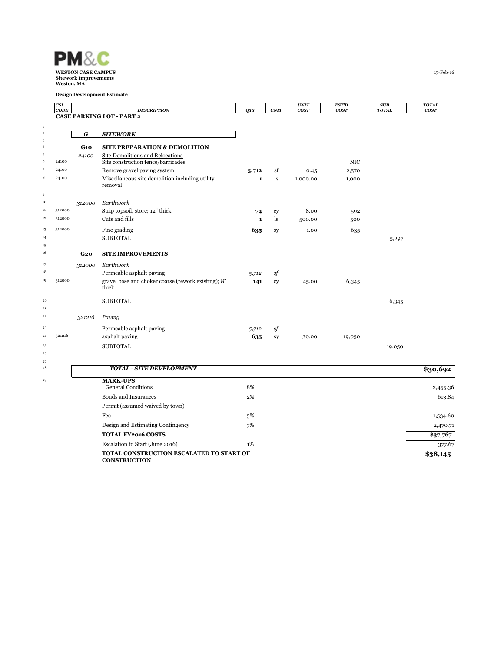

|                           | CSI<br>CODE |        | <b>DESCRIPTION</b>                                              | QTY          | <b>UNIT</b>   | <b>UNIT</b><br>cos <sub>T</sub> | <b>EST'D</b><br>cosr | SUB<br><b>TOTAL</b> | <b>TOTAL</b><br>cosr |
|---------------------------|-------------|--------|-----------------------------------------------------------------|--------------|---------------|---------------------------------|----------------------|---------------------|----------------------|
|                           |             |        | <b>CASE PARKING LOT - PART 2</b>                                |              |               |                                 |                      |                     |                      |
| $\,$ 1                    |             |        |                                                                 |              |               |                                 |                      |                     |                      |
| $\,$ 2 $\,$<br>$\sqrt{3}$ |             | G      | <b>SITEWORK</b>                                                 |              |               |                                 |                      |                     |                      |
| $\overline{4}$            |             | G1O    | <b>SITE PREPARATION &amp; DEMOLITION</b>                        |              |               |                                 |                      |                     |                      |
| $\sqrt{5}$                |             | 24100  | Site Demolitions and Relocations                                |              |               |                                 |                      |                     |                      |
| 6                         | 24100       |        | Site construction fence/barricades                              |              |               |                                 | <b>NIC</b>           |                     |                      |
|                           | 24100       |        | Remove gravel paving system                                     | 5,712        | sf            | 0.45                            | 2,570                |                     |                      |
| 8                         | 24100       |        | Miscellaneous site demolition including utility<br>removal      | $\mathbf{1}$ | <sup>1s</sup> | 1,000.00                        | 1,000                |                     |                      |
| 9<br>10                   |             | 312000 | Earthwork                                                       |              |               |                                 |                      |                     |                      |
| 11                        | 312000      |        | Strip topsoil, store; 12" thick                                 | 74           | cy            | 8.00                            | 592                  |                     |                      |
| 12                        | 312000      |        | Cuts and fills                                                  | $\mathbf{1}$ | ls            | 500.00                          | 500                  |                     |                      |
| 13                        | 312000      |        | Fine grading                                                    |              |               | 1.00                            |                      |                     |                      |
| 14                        |             |        | <b>SUBTOTAL</b>                                                 | 635          | sy            |                                 | 635                  | 5,297               |                      |
| 15                        |             |        |                                                                 |              |               |                                 |                      |                     |                      |
| 16                        |             | G2O    | <b>SITE IMPROVEMENTS</b>                                        |              |               |                                 |                      |                     |                      |
| 17                        |             | 312000 | Earthwork                                                       |              |               |                                 |                      |                     |                      |
| 18                        |             |        | Permeable asphalt paving                                        | 5,712        | sf            |                                 |                      |                     |                      |
| 19                        | 312000      |        | gravel base and choker coarse (rework existing); 8"<br>thick    | 141          | cy            | 45.00                           | 6,345                |                     |                      |
| $20\,$                    |             |        | <b>SUBTOTAL</b>                                                 |              |               |                                 |                      | 6,345               |                      |
| 21                        |             |        |                                                                 |              |               |                                 |                      |                     |                      |
| 22                        |             | 321216 | Paving                                                          |              |               |                                 |                      |                     |                      |
| 23                        |             |        | Permeable asphalt paving                                        | 5,712        | sf            |                                 |                      |                     |                      |
| 24                        | 321216      |        | asphalt paving                                                  | 635          | sy            | 30.00                           | 19,050               |                     |                      |
| $\bf{^{25}}$              |             |        | <b>SUBTOTAL</b>                                                 |              |               |                                 |                      | 19,050              |                      |
| 26                        |             |        |                                                                 |              |               |                                 |                      |                     |                      |
| 27<br>$^{\rm 28}$         |             |        | <b>TOTAL - SITE DEVELOPMENT</b>                                 |              |               |                                 |                      |                     |                      |
|                           |             |        |                                                                 |              |               |                                 |                      |                     | \$30,692             |
| 29                        |             |        | <b>MARK-UPS</b><br><b>General Conditions</b>                    | 8%           |               |                                 |                      |                     | 2,455.36             |
|                           |             |        | <b>Bonds and Insurances</b>                                     | 2%           |               |                                 |                      |                     | 613.84               |
|                           |             |        | Permit (assumed waived by town)                                 |              |               |                                 |                      |                     |                      |
|                           |             |        | Fee                                                             | 5%           |               |                                 |                      |                     | 1,534.60             |
|                           |             |        | Design and Estimating Contingency                               | 7%           |               |                                 |                      |                     | 2,470.71             |
|                           |             |        | <b>TOTAL FY2016 COSTS</b>                                       |              |               |                                 |                      |                     | \$37,767             |
|                           |             |        | Escalation to Start (June 2016)                                 | 1%           |               |                                 |                      |                     | 377.67               |
|                           |             |        | TOTAL CONSTRUCTION ESCALATED TO START OF<br><b>CONSTRUCTION</b> |              |               |                                 |                      |                     | \$38,145             |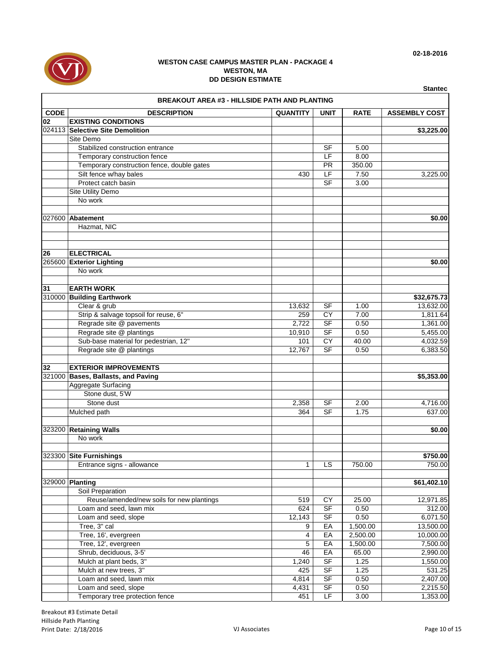

|              | <b>BREAKOUT AREA #3 - HILLSIDE PATH AND PLANTING</b> |                 |             |             |                      |  |  |  |  |
|--------------|------------------------------------------------------|-----------------|-------------|-------------|----------------------|--|--|--|--|
| <b>CODE</b>  | <b>DESCRIPTION</b>                                   | <b>QUANTITY</b> | <b>UNIT</b> | <b>RATE</b> | <b>ASSEMBLY COST</b> |  |  |  |  |
| 02           | <b>EXISTING CONDITIONS</b>                           |                 |             |             |                      |  |  |  |  |
|              | 024113 Selective Site Demolition                     |                 |             |             | \$3,225.00           |  |  |  |  |
|              | Site Demo                                            |                 |             |             |                      |  |  |  |  |
|              | Stabilized construction entrance                     |                 | SF          | 5.00        |                      |  |  |  |  |
|              | Temporary construction fence                         |                 | LF          | 8.00        |                      |  |  |  |  |
|              | Temporary construction fence, double gates           |                 | <b>PR</b>   | 350.00      |                      |  |  |  |  |
|              | Silt fence w/hay bales                               | 430             | LF          | 7.50        | 3,225.00             |  |  |  |  |
|              | Protect catch basin                                  |                 | <b>SF</b>   | 3.00        |                      |  |  |  |  |
|              | Site Utility Demo                                    |                 |             |             |                      |  |  |  |  |
|              | No work                                              |                 |             |             |                      |  |  |  |  |
|              |                                                      |                 |             |             |                      |  |  |  |  |
| 027600       | Abatement                                            |                 |             |             | \$0.00               |  |  |  |  |
|              | Hazmat, NIC                                          |                 |             |             |                      |  |  |  |  |
|              |                                                      |                 |             |             |                      |  |  |  |  |
|              |                                                      |                 |             |             |                      |  |  |  |  |
| 26<br>265600 | <b>ELECTRICAL</b><br><b>Exterior Lighting</b>        |                 |             |             |                      |  |  |  |  |
|              | No work                                              |                 |             |             | \$0.00               |  |  |  |  |
|              |                                                      |                 |             |             |                      |  |  |  |  |
| 31           | <b>EARTH WORK</b>                                    |                 |             |             |                      |  |  |  |  |
|              | 310000 Building Earthwork                            |                 |             |             | \$32,675.73          |  |  |  |  |
|              | Clear & grub                                         | 13,632          | <b>SF</b>   | 1.00        | 13,632.00            |  |  |  |  |
|              | Strip & salvage topsoil for reuse, 6"                | 259             | CY          | 7.00        | 1,811.64             |  |  |  |  |
|              | Regrade site @ pavements                             | 2,722           | <b>SF</b>   | 0.50        | 1,361.00             |  |  |  |  |
|              | Regrade site @ plantings                             | 10,910          | SF          | 0.50        | 5,455.00             |  |  |  |  |
|              | Sub-base material for pedestrian, 12"                | 101             | CY          | 40.00       | 4,032.59             |  |  |  |  |
|              | Regrade site @ plantings                             | 12,767          | SF          | 0.50        | 6,383.50             |  |  |  |  |
|              |                                                      |                 |             |             |                      |  |  |  |  |
| 32           | <b>EXTERIOR IMPROVEMENTS</b>                         |                 |             |             |                      |  |  |  |  |
|              | 321000 Bases, Ballasts, and Paving                   |                 |             |             | \$5,353.00           |  |  |  |  |
|              | Aggregate Surfacing                                  |                 |             |             |                      |  |  |  |  |
|              | Stone dust, 5'W                                      |                 |             |             |                      |  |  |  |  |
|              | Stone dust                                           | 2,358           | SF          | 2.00        | 4,716.00             |  |  |  |  |
|              | Mulched path                                         | 364             | <b>SF</b>   | 1.75        | 637.00               |  |  |  |  |
|              |                                                      |                 |             |             |                      |  |  |  |  |
|              | 323200 Retaining Walls                               |                 |             |             | \$0.00               |  |  |  |  |
|              | No work                                              |                 |             |             |                      |  |  |  |  |
|              |                                                      |                 |             |             |                      |  |  |  |  |
| 323300       | <b>Site Furnishings</b>                              |                 |             |             | \$750.00             |  |  |  |  |
|              | Entrance signs - allowance                           | 1               | LS          | 750.00      | 750.00               |  |  |  |  |
|              |                                                      |                 |             |             |                      |  |  |  |  |
|              | 329000 Planting                                      |                 |             |             | \$61,402.10          |  |  |  |  |
|              | Soil Preparation                                     |                 |             |             |                      |  |  |  |  |
|              | Reuse/amended/new soils for new plantings            | 519             | CY          | 25.00       | 12,971.85            |  |  |  |  |
|              | Loam and seed, lawn mix                              | 624             | <b>SF</b>   | 0.50        | 312.00               |  |  |  |  |
|              | Loam and seed, slope                                 | 12,143          | SF          | 0.50        | 6,071.50             |  |  |  |  |
|              | Tree, 3" cal                                         | 9               | EA          | 1,500.00    | 13,500.00            |  |  |  |  |
|              | Tree, 16', evergreen                                 | 4               | EA          | 2,500.00    | 10,000.00            |  |  |  |  |
|              | Tree, 12', evergreen                                 | 5               | EA          | 1,500.00    | 7,500.00             |  |  |  |  |
|              | Shrub, deciduous, 3-5'                               | 46              | EA          | 65.00       | 2,990.00             |  |  |  |  |
|              | Mulch at plant beds, 3"                              | 1,240           | <b>SF</b>   | 1.25        | 1,550.00             |  |  |  |  |
|              | Mulch at new trees, 3"                               | 425             | SF          | 1.25        | 531.25               |  |  |  |  |
|              | Loam and seed, lawn mix                              | 4,814           | $S$ F       | 0.50        | 2,407.00             |  |  |  |  |
|              | Loam and seed, slope                                 | 4,431           | SF          | 0.50        | 2,215.50             |  |  |  |  |
|              | Temporary tree protection fence                      | 451             | LF          | 3.00        | 1,353.00             |  |  |  |  |

**02-18-2016**

**Stantec**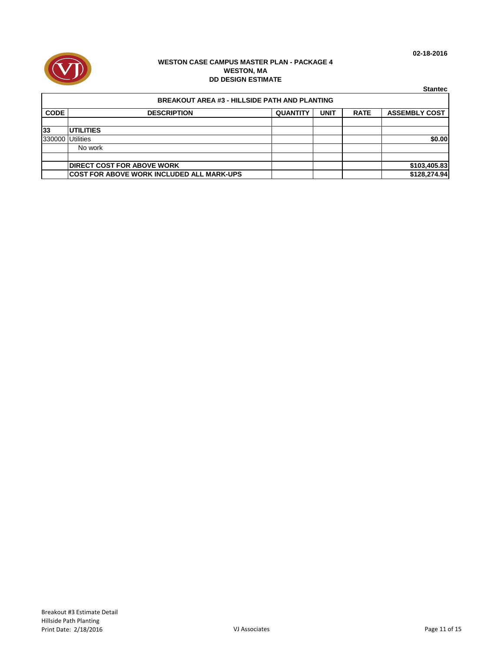



|             |                                                      |                 |             |             | <b>Stantec</b>       |  |  |  |  |
|-------------|------------------------------------------------------|-----------------|-------------|-------------|----------------------|--|--|--|--|
|             | <b>BREAKOUT AREA #3 - HILLSIDE PATH AND PLANTING</b> |                 |             |             |                      |  |  |  |  |
| <b>CODE</b> | <b>DESCRIPTION</b>                                   | <b>QUANTITY</b> | <b>UNIT</b> | <b>RATE</b> | <b>ASSEMBLY COST</b> |  |  |  |  |
|             |                                                      |                 |             |             |                      |  |  |  |  |
| 33          | <b>UTILITIES</b>                                     |                 |             |             |                      |  |  |  |  |
| 330000      | <b>Utilities</b>                                     |                 |             |             | \$0.00               |  |  |  |  |
|             | No work                                              |                 |             |             |                      |  |  |  |  |
|             |                                                      |                 |             |             |                      |  |  |  |  |
|             | <b>DIRECT COST FOR ABOVE WORK</b>                    |                 |             |             | \$103,405.83         |  |  |  |  |
|             | <b>COST FOR ABOVE WORK INCLUDED ALL MARK-UPS</b>     |                 |             |             | \$128,274.94         |  |  |  |  |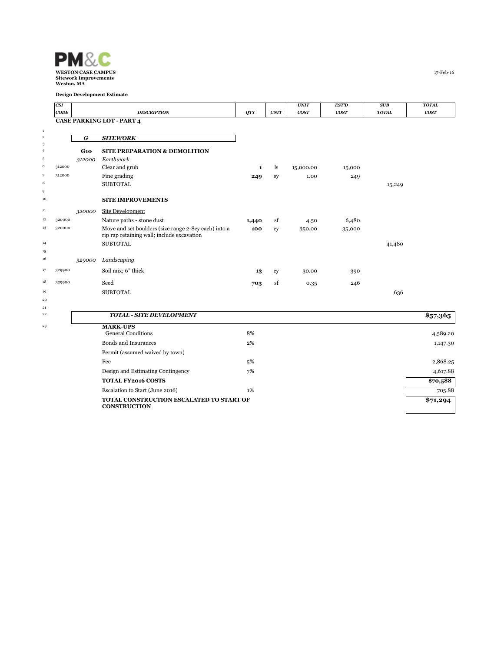

|                | CSI    |                |                                                      |              |             | <b>UNIT</b> | <b>EST'D</b>     | SUB          | <b>TOTAL</b> |
|----------------|--------|----------------|------------------------------------------------------|--------------|-------------|-------------|------------------|--------------|--------------|
|                | CODE   |                | <b>DESCRIPTION</b>                                   | QTY          | <b>UNIT</b> | <b>COST</b> | cos <sub>T</sub> | <b>TOTAL</b> | <b>COST</b>  |
|                |        |                | <b>CASE PARKING LOT - PART 4</b>                     |              |             |             |                  |              |              |
| $\,$ 1         |        |                |                                                      |              |             |             |                  |              |              |
| $\,$ 2<br>3    |        | $\overline{G}$ | <b>SITEWORK</b>                                      |              |             |             |                  |              |              |
| $\overline{4}$ |        | G10            | <b>SITE PREPARATION &amp; DEMOLITION</b>             |              |             |             |                  |              |              |
| 5              |        | 312000         | Earthwork                                            |              |             |             |                  |              |              |
| 6              | 312000 |                | Clear and grub                                       | $\mathbf{1}$ | ls          | 15,000.00   | 15,000           |              |              |
| $\overline{7}$ | 312000 |                | Fine grading                                         | 249          | sy          | 1.00        | 249              |              |              |
| $\,$ 8         |        |                | <b>SUBTOTAL</b>                                      |              |             |             |                  | 15,249       |              |
| 9              |        |                |                                                      |              |             |             |                  |              |              |
| 10             |        |                | <b>SITE IMPROVEMENTS</b>                             |              |             |             |                  |              |              |
| 11             |        | 320000         | Site Development                                     |              |             |             |                  |              |              |
| 12             | 320000 |                | Nature paths - stone dust                            | 1,440        | sf          | 4.50        | 6,480            |              |              |
| 13             | 320000 |                | Move and set boulders (size range 2-8cy each) into a | 100          | cy          | 350.00      | 35,000           |              |              |
|                |        |                | rip rap retaining wall; include excavation           |              |             |             |                  |              |              |
| 14<br>15       |        |                | <b>SUBTOTAL</b>                                      |              |             |             |                  | 41,480       |              |
| 16             |        | 329000         | Landscaping                                          |              |             |             |                  |              |              |
|                |        |                |                                                      |              |             |             |                  |              |              |
| 17             | 329900 |                | Soil mix; 6" thick                                   | 13           | cy          | 30.00       | 390              |              |              |
| 18             | 329900 |                | Seed                                                 | 703          | sf          | 0.35        | 246              |              |              |
| 19             |        |                | <b>SUBTOTAL</b>                                      |              |             |             |                  | 636          |              |
| $20\,$         |        |                |                                                      |              |             |             |                  |              |              |
| 21<br>$^{22}$  |        |                | <b>TOTAL - SITE DEVELOPMENT</b>                      |              |             |             |                  |              |              |
|                |        |                |                                                      |              |             |             |                  |              | \$57,365     |
| $^{\rm 23}$    |        |                | <b>MARK-UPS</b>                                      |              |             |             |                  |              |              |
|                |        |                | <b>General Conditions</b>                            | 8%           |             |             |                  |              | 4,589.20     |
|                |        |                | Bonds and Insurances                                 | 2%           |             |             |                  |              | 1,147.30     |
|                |        |                | Permit (assumed waived by town)                      |              |             |             |                  |              |              |
|                |        |                | Fee                                                  | 5%           |             |             |                  |              | 2,868.25     |
|                |        |                | Design and Estimating Contingency                    | 7%           |             |             |                  |              | 4,617.88     |
|                |        |                | <b>TOTAL FY2016 COSTS</b>                            |              |             |             |                  |              | \$70,588     |
|                |        |                | Escalation to Start (June 2016)                      | 1%           |             |             |                  |              | 705.88       |
|                |        |                | TOTAL CONSTRUCTION ESCALATED TO START OF             |              |             |             |                  |              | \$71,294     |
|                |        |                | <b>CONSTRUCTION</b>                                  |              |             |             |                  |              |              |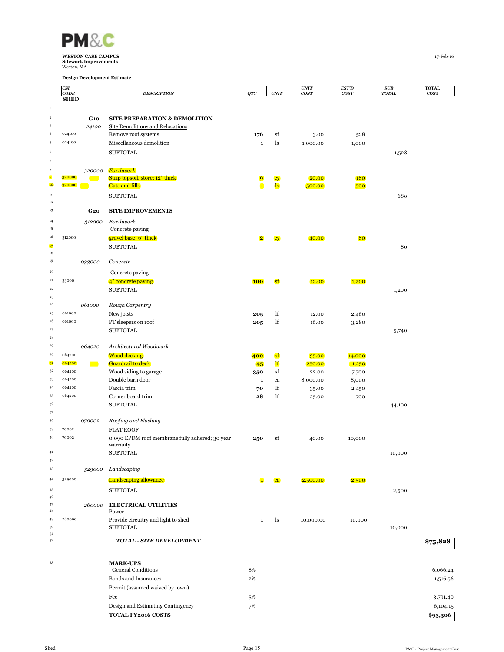

|                            | CSI<br>CODE |                              | <b>DESCRIPTION</b>                              | <b>QTY</b>              | $\ensuremath{\textit{UNIT}}$ | <b>UNIT</b><br>cosr | EST'D<br>cos <sub>T</sub> | SUB<br><b>TOTAL</b> | <b>TOTAL</b><br><b>COST</b> |
|----------------------------|-------------|------------------------------|-------------------------------------------------|-------------------------|------------------------------|---------------------|---------------------------|---------------------|-----------------------------|
|                            | <b>SHED</b> |                              |                                                 |                         |                              |                     |                           |                     |                             |
| $\,$ 1 $\,$                |             |                              |                                                 |                         |                              |                     |                           |                     |                             |
| $\,2\,$                    |             | <b>G10</b>                   | <b>SITE PREPARATION &amp; DEMOLITION</b>        |                         |                              |                     |                           |                     |                             |
| 3                          |             | 24100                        | <b>Site Demolitions and Relocations</b>         |                         |                              |                     |                           |                     |                             |
| $\overline{4}$             | 024100      |                              | Remove roof systems                             | 176                     | sf                           | 3.00                | 528                       |                     |                             |
| $\sqrt{5}$                 | 024100      |                              | Miscellaneous demolition                        | $\mathbf 1$             | ls                           | 1,000.00            | 1,000                     |                     |                             |
| 6                          |             |                              | <b>SUBTOTAL</b>                                 |                         |                              |                     |                           | 1,528               |                             |
| $\overline{\phantom{a}}$   |             |                              |                                                 |                         |                              |                     |                           |                     |                             |
| 8                          |             | 320000                       | Earthwork                                       |                         |                              |                     |                           |                     |                             |
| 9<br>10 <sub>10</sub>      | 320000      |                              | Strip topsoil, store; 12" thick                 | 9                       | cy                           | 20.00               | 180                       |                     |                             |
|                            | 320000      |                              | <b>Cuts and fills</b>                           | $\mathbf{1}$            | $\mathbf{ls}$                | 500.00              | 500                       |                     |                             |
| $11\,$<br>$12\,$           |             |                              | <b>SUBTOTAL</b>                                 |                         |                              |                     |                           | 680                 |                             |
| 13                         |             | G2O                          | <b>SITE IMPROVEMENTS</b>                        |                         |                              |                     |                           |                     |                             |
| 14                         |             |                              | Earthwork                                       |                         |                              |                     |                           |                     |                             |
| 15                         |             | 312000                       | Concrete paving                                 |                         |                              |                     |                           |                     |                             |
| 16                         | 312000      |                              | gravel base; 6" thick                           | $\overline{\mathbf{2}}$ | cy                           | 40.00               | 80                        |                     |                             |
| 17                         |             |                              | <b>SUBTOTAL</b>                                 |                         |                              |                     |                           | 80                  |                             |
| 18                         |             |                              |                                                 |                         |                              |                     |                           |                     |                             |
| 19                         |             | 033000                       | Concrete                                        |                         |                              |                     |                           |                     |                             |
| 20                         |             |                              | Concrete paving                                 |                         |                              |                     |                           |                     |                             |
| $\bf 21$                   | 33000       |                              | 4" concrete paving                              | <b>100</b>              | sf                           | 12.00               | 1,200                     |                     |                             |
| $\bf{^{22}}$               |             |                              | <b>SUBTOTAL</b>                                 |                         |                              |                     |                           | 1,200               |                             |
| $^{\rm 23}$                |             |                              |                                                 |                         |                              |                     |                           |                     |                             |
| $\bf{^{24}}$<br>25         | 061000      | 061000                       | Rough Carpentry                                 |                         |                              |                     |                           |                     |                             |
| 26                         | 061000      |                              | New joists<br>PT sleepers on roof               | 205<br>205              | lf<br>$_{\rm lf}$            | 12.00<br>16.00      | 2,460<br>3,280            |                     |                             |
| $\bf{27}$                  |             |                              | <b>SUBTOTAL</b>                                 |                         |                              |                     |                           | 5,740               |                             |
| $\bf 28$                   |             |                              |                                                 |                         |                              |                     |                           |                     |                             |
| 29                         |             | 064020                       | Architectural Woodwork                          |                         |                              |                     |                           |                     |                             |
| 30                         | 064200      |                              | <b>Wood decking</b>                             | 400                     | <b>sf</b>                    | 35.00               | 14,000                    |                     |                             |
| 3 <sup>1</sup>             | 064200      | $\qquad \qquad \blacksquare$ | Guardrail to deck                               | 45                      | <b>If</b>                    | 250.00              | 11,250                    |                     |                             |
| 3 <sup>2</sup>             | 064200      |                              | Wood siding to garage                           | 350                     | sf                           | 22.00               | 7,700                     |                     |                             |
| 33                         | 064200      |                              | Double barn door                                | $\mathbf 1$             | ea                           | 8,000.00            | 8,000                     |                     |                             |
| 34                         | 064200      |                              | Fascia trim                                     | 70                      | lf                           | 35.00               | 2,450                     |                     |                             |
| 35<br>36                   | 064200      |                              | Corner board trim                               | 28                      | $_{\rm lf}$                  | 25.00               | 700                       |                     |                             |
| 37                         |             |                              | <b>SUBTOTAL</b>                                 |                         |                              |                     |                           | 44,100              |                             |
| 38                         |             | 070002                       | Roofing and Flashing                            |                         |                              |                     |                           |                     |                             |
| 39                         | 70002       |                              | <b>FLAT ROOF</b>                                |                         |                              |                     |                           |                     |                             |
| 40                         | 70002       |                              | 0.090 EPDM roof membrane fully adhered; 30 year | 250                     | sf                           | 40.00               | 10,000                    |                     |                             |
|                            |             |                              | warranty                                        |                         |                              |                     |                           |                     |                             |
| 41                         |             |                              | <b>SUBTOTAL</b>                                 |                         |                              |                     |                           | 10,000              |                             |
| 42                         |             |                              |                                                 |                         |                              |                     |                           |                     |                             |
| 43                         |             |                              | 329000 Landscaping                              |                         |                              |                     |                           |                     |                             |
| 44                         | 329000      |                              | <b>Landscaping allowance</b>                    | $\blacksquare$          | ea                           | 2,500.00            | 2,500                     |                     |                             |
| $45\,$                     |             |                              | <b>SUBTOTAL</b>                                 |                         |                              |                     |                           | 2,500               |                             |
| 46<br>47                   |             |                              |                                                 |                         |                              |                     |                           |                     |                             |
| 48                         |             | 260000                       | <b>ELECTRICAL UTILITIES</b><br>Power            |                         |                              |                     |                           |                     |                             |
| 49                         | 260000      |                              | Provide circuitry and light to shed             | $\mathbf{1}$            | ls                           | 10,000.00           | 10,000                    |                     |                             |
| 50                         |             |                              | <b>SUBTOTAL</b>                                 |                         |                              |                     |                           | 10,000              |                             |
| $5^{\rm 1}$<br>$^{\rm 52}$ |             |                              | <b>TOTAL - SITE DEVELOPMENT</b>                 |                         |                              |                     |                           |                     |                             |
|                            |             |                              |                                                 |                         |                              |                     |                           |                     | \$75,828                    |
| 53                         |             |                              | <b>MARK-UPS</b>                                 |                         |                              |                     |                           |                     |                             |
|                            |             |                              | <b>General Conditions</b>                       | 8%                      |                              |                     |                           |                     | 6,066.24                    |
|                            |             |                              | Bonds and Insurances                            | $2\%$                   |                              |                     |                           |                     | 1,516.56                    |
|                            |             |                              | Permit (assumed waived by town)                 |                         |                              |                     |                           |                     |                             |
|                            |             |                              | Fee                                             | 5%                      |                              |                     |                           |                     | 3,791.40                    |
|                            |             |                              | Design and Estimating Contingency               | 7%                      |                              |                     |                           |                     | 6,104.15                    |
|                            |             |                              | TOTAL FY2016 COSTS                              |                         |                              |                     |                           |                     | \$93,306                    |